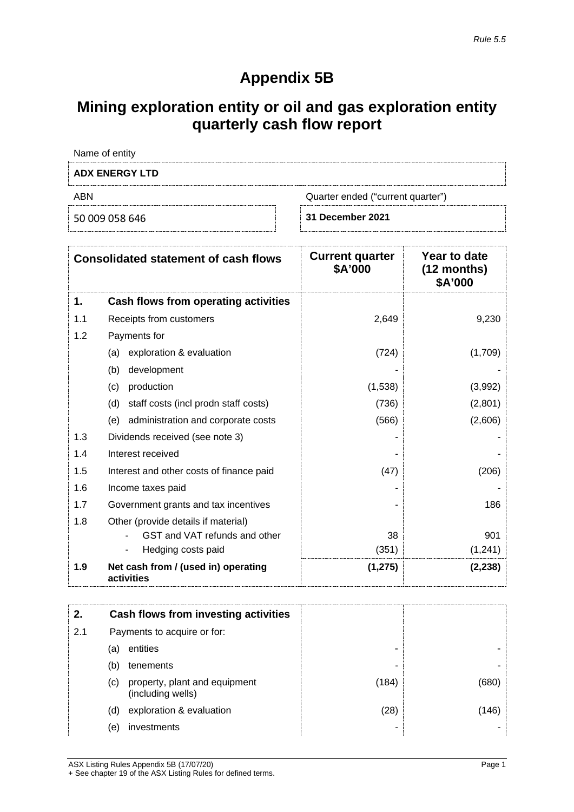# **Appendix 5B**

## **Mining exploration entity or oil and gas exploration entity quarterly cash flow report**

Name of entity

### **ADX ENERGY LTD**

ABN Quarter ended ("current quarter")

50 009 058 646 **31 December 2021**

| <b>Consolidated statement of cash flows</b> |                                                   | <b>Current quarter</b><br>\$A'000 | Year to date<br>$(12$ months)<br>\$A'000 |
|---------------------------------------------|---------------------------------------------------|-----------------------------------|------------------------------------------|
| 1.                                          | Cash flows from operating activities              |                                   |                                          |
| 1.1                                         | Receipts from customers                           | 2,649                             | 9,230                                    |
| 1.2                                         | Payments for                                      |                                   |                                          |
|                                             | exploration & evaluation<br>(a)                   | (724)                             | (1,709)                                  |
|                                             | (b)<br>development                                |                                   |                                          |
|                                             | production<br>(c)                                 | (1,538)                           | (3,992)                                  |
|                                             | staff costs (incl prodn staff costs)<br>(d)       | (736)                             | (2,801)                                  |
|                                             | administration and corporate costs<br>(e)         | (566)                             | (2,606)                                  |
| 1.3                                         | Dividends received (see note 3)                   |                                   |                                          |
| 1.4                                         | Interest received                                 |                                   |                                          |
| 1.5                                         | Interest and other costs of finance paid          | (47)                              | (206)                                    |
| 1.6                                         | Income taxes paid                                 |                                   |                                          |
| 1.7                                         | Government grants and tax incentives              |                                   | 186                                      |
| 1.8                                         | Other (provide details if material)               |                                   |                                          |
|                                             | GST and VAT refunds and other                     | 38                                | 901                                      |
|                                             | Hedging costs paid                                | (351)                             | (1, 241)                                 |
| 1.9                                         | Net cash from / (used in) operating<br>activities | (1, 275)                          | (2, 238)                                 |

|     |                             | Cash flows from investing activities               |       |     |
|-----|-----------------------------|----------------------------------------------------|-------|-----|
| 2.1 | Payments to acquire or for: |                                                    |       |     |
|     | (a)                         | entities                                           | -     |     |
|     | (b)                         | tenements                                          |       |     |
|     | (c)                         | property, plant and equipment<br>(including wells) | (184) | b8U |
|     | (d)                         | exploration & evaluation                           | 28)   |     |
|     | (e)                         | investments                                        |       |     |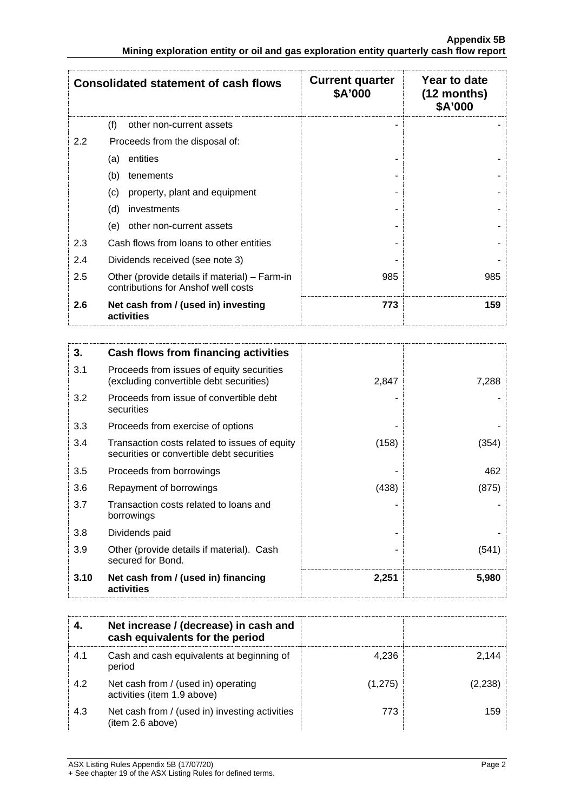| <b>Consolidated statement of cash flows</b> |                                                                                      | <b>Current quarter</b><br>\$A'000 | Year to date<br>$(12$ months)<br>\$A'000 |
|---------------------------------------------|--------------------------------------------------------------------------------------|-----------------------------------|------------------------------------------|
|                                             | (f)<br>other non-current assets                                                      |                                   |                                          |
| 2.2                                         | Proceeds from the disposal of:                                                       |                                   |                                          |
|                                             | entities<br>(a)                                                                      |                                   |                                          |
|                                             | (b)<br>tenements                                                                     |                                   |                                          |
|                                             | property, plant and equipment<br>(c)                                                 |                                   |                                          |
|                                             | (d)<br>investments                                                                   |                                   |                                          |
|                                             | other non-current assets<br>(e)                                                      |                                   |                                          |
| 2.3                                         | Cash flows from loans to other entities                                              |                                   |                                          |
| 2.4                                         | Dividends received (see note 3)                                                      |                                   |                                          |
| 2.5                                         | Other (provide details if material) – Farm-in<br>contributions for Anshof well costs | 985                               | 985                                      |
| 2.6                                         | Net cash from / (used in) investing<br>activities                                    | 773                               | 159                                      |

| 3.   | Cash flows from financing activities                                                       |       |       |
|------|--------------------------------------------------------------------------------------------|-------|-------|
| 3.1  | Proceeds from issues of equity securities<br>(excluding convertible debt securities)       | 2,847 | 7,288 |
| 3.2  | Proceeds from issue of convertible debt<br>securities                                      |       |       |
| 3.3  | Proceeds from exercise of options                                                          |       |       |
| 3.4  | Transaction costs related to issues of equity<br>securities or convertible debt securities | (158) | (354) |
| 3.5  | Proceeds from borrowings                                                                   |       | 462   |
| 3.6  | Repayment of borrowings                                                                    | (438) | (875) |
| 3.7  | Transaction costs related to loans and<br>borrowings                                       |       |       |
| 3.8  | Dividends paid                                                                             |       |       |
| 3.9  | Other (provide details if material). Cash<br>secured for Bond.                             |       | (541) |
| 3.10 | Net cash from / (used in) financing<br>activities                                          | 2,251 | 5,980 |

|     | Net increase / (decrease) in cash and<br>cash equivalents for the period |         |  |
|-----|--------------------------------------------------------------------------|---------|--|
| 4.1 | Cash and cash equivalents at beginning of<br>period                      | 4 2 3 6 |  |
| 4.2 | Net cash from / (used in) operating<br>activities (item 1.9 above)       | (1,275) |  |
| 4.3 | Net cash from / (used in) investing activities<br>(item 2.6 above)       | 773     |  |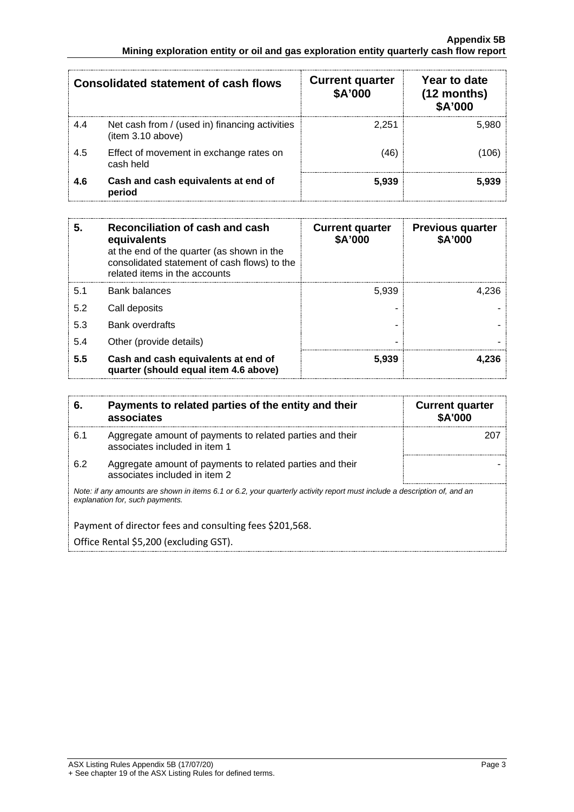| <b>Consolidated statement of cash flows</b> |                                                                     | <b>Current quarter</b><br>\$A'000 | Year to date<br>$(12$ months)<br><b>\$A'000</b> |
|---------------------------------------------|---------------------------------------------------------------------|-----------------------------------|-------------------------------------------------|
| 4.4                                         | Net cash from / (used in) financing activities<br>(item 3.10 above) | 2.251                             | 5.980                                           |
| 4.5                                         | Effect of movement in exchange rates on<br>cash held                | 46                                |                                                 |
| 4.6                                         | Cash and cash equivalents at end of<br>period                       | 5,939                             | 5 939                                           |

| 5   | Reconciliation of cash and cash<br>equivalents<br>at the end of the quarter (as shown in the<br>consolidated statement of cash flows) to the<br>related items in the accounts | <b>Current quarter</b><br>\$A'000 | <b>Previous quarter</b><br>\$A'000 |
|-----|-------------------------------------------------------------------------------------------------------------------------------------------------------------------------------|-----------------------------------|------------------------------------|
| 5.1 | <b>Bank balances</b>                                                                                                                                                          | 5.939                             | 4.236                              |
| 5.2 | Call deposits                                                                                                                                                                 |                                   |                                    |
| 5.3 | <b>Bank overdrafts</b>                                                                                                                                                        |                                   |                                    |
| 5.4 | Other (provide details)                                                                                                                                                       |                                   |                                    |
| 5.5 | Cash and cash equivalents at end of<br>quarter (should equal item 4.6 above)                                                                                                  | 5.939                             | -236                               |

| 6.                                                                                                | Payments to related parties of the entity and their<br>associates                                                                                           | <b>Current quarter</b><br><b>\$A'000</b> |  |
|---------------------------------------------------------------------------------------------------|-------------------------------------------------------------------------------------------------------------------------------------------------------------|------------------------------------------|--|
| 6.1                                                                                               | Aggregate amount of payments to related parties and their<br>associates included in item 1                                                                  |                                          |  |
| 6.2                                                                                               | Aggregate amount of payments to related parties and their<br>associates included in item 2                                                                  |                                          |  |
|                                                                                                   | Note: if any amounts are shown in items 6.1 or 6.2, your quarterly activity report must include a description of, and an<br>explanation for, such payments. |                                          |  |
| Payment of director fees and consulting fees \$201,568.<br>Office Rental \$5,200 (excluding GST). |                                                                                                                                                             |                                          |  |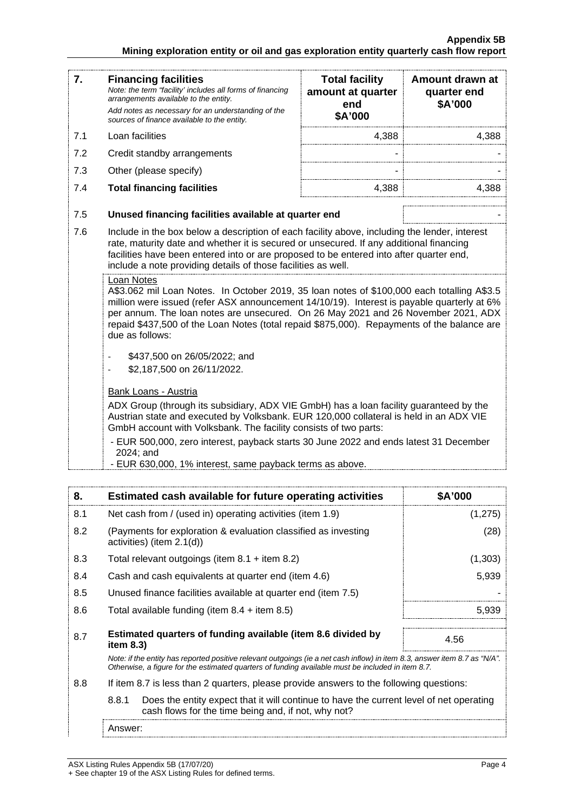#### **Appendix 5B Mining exploration entity or oil and gas exploration entity quarterly cash flow report**

| 7.  | <b>Financing facilities</b><br>Note: the term "facility' includes all forms of financing<br>arrangements available to the entity.<br>Add notes as necessary for an understanding of the<br>sources of finance available to the entity.                                                                                                                                                                                                                                                             | <b>Total facility</b><br>amount at quarter<br>end<br>\$A'000 | Amount drawn at<br>quarter end<br>\$A'000 |
|-----|----------------------------------------------------------------------------------------------------------------------------------------------------------------------------------------------------------------------------------------------------------------------------------------------------------------------------------------------------------------------------------------------------------------------------------------------------------------------------------------------------|--------------------------------------------------------------|-------------------------------------------|
| 7.1 | Loan facilities                                                                                                                                                                                                                                                                                                                                                                                                                                                                                    | 4,388                                                        | 4,388                                     |
| 7.2 | Credit standby arrangements                                                                                                                                                                                                                                                                                                                                                                                                                                                                        |                                                              |                                           |
| 7.3 | Other (please specify)                                                                                                                                                                                                                                                                                                                                                                                                                                                                             |                                                              |                                           |
| 7.4 | <b>Total financing facilities</b>                                                                                                                                                                                                                                                                                                                                                                                                                                                                  | 4,388                                                        | 4,388                                     |
| 7.5 | Unused financing facilities available at quarter end                                                                                                                                                                                                                                                                                                                                                                                                                                               |                                                              |                                           |
| 7.6 | Include in the box below a description of each facility above, including the lender, interest<br>rate, maturity date and whether it is secured or unsecured. If any additional financing<br>facilities have been entered into or are proposed to be entered into after quarter end,<br>include a note providing details of those facilities as well.                                                                                                                                               |                                                              |                                           |
|     | Loan Notes<br>A\$3.062 mil Loan Notes. In October 2019, 35 loan notes of \$100,000 each totalling A\$3.5<br>million were issued (refer ASX announcement 14/10/19). Interest is payable quarterly at 6%<br>per annum. The loan notes are unsecured. On 26 May 2021 and 26 November 2021, ADX<br>repaid \$437,500 of the Loan Notes (total repaid \$875,000). Repayments of the balance are<br>due as follows:<br>\$437,500 on 26/05/2022; and<br>\$2,187,500 on 26/11/2022.<br>Bank Loans - Austria |                                                              |                                           |
|     | ADX Group (through its subsidiary, ADX VIE GmbH) has a loan facility guaranteed by the<br>Austrian state and executed by Volksbank. EUR 120,000 collateral is held in an ADX VIE<br>GmbH account with Volksbank. The facility consists of two parts:                                                                                                                                                                                                                                               |                                                              |                                           |
|     | - EUR 500,000, zero interest, payback starts 30 June 2022 and ends latest 31 December<br>2024; and<br>- EUR 630,000, 1% interest, same payback terms as above.                                                                                                                                                                                                                                                                                                                                     |                                                              |                                           |

| 8.  | Estimated cash available for future operating activities                                                                                                                                                                        | <b>\$A'000</b> |
|-----|---------------------------------------------------------------------------------------------------------------------------------------------------------------------------------------------------------------------------------|----------------|
| 8.1 | Net cash from / (used in) operating activities (item 1.9)                                                                                                                                                                       | (1,275)        |
| 8.2 | (Payments for exploration & evaluation classified as investing<br>activities) (item 2.1(d))                                                                                                                                     | (28)           |
| 8.3 | Total relevant outgoings (item $8.1 +$ item $8.2$ )                                                                                                                                                                             | (1,303)        |
| 8.4 | Cash and cash equivalents at quarter end (item 4.6)                                                                                                                                                                             | 5,939          |
| 8.5 | Unused finance facilities available at quarter end (item 7.5)                                                                                                                                                                   |                |
| 8.6 | Total available funding (item $8.4$ + item $8.5$ )                                                                                                                                                                              | 5.939          |
| 8.7 | Estimated quarters of funding available (item 8.6 divided by<br>item 8.3)                                                                                                                                                       | 4.56           |
|     | Note: if the entity has reported positive relevant outgoings (ie a net cash inflow) in item 8.3, answer item 8.7 as "N/A".<br>Otherwise, a figure for the estimated quarters of funding available must be included in item 8.7. |                |
| 8.8 | If item 8.7 is less than 2 quarters, please provide answers to the following questions:                                                                                                                                         |                |
|     | 8.8.1<br>Does the entity expect that it will continue to have the current level of net operating<br>cash flows for the time being and, if not, why not?                                                                         |                |
|     | Answer:                                                                                                                                                                                                                         |                |